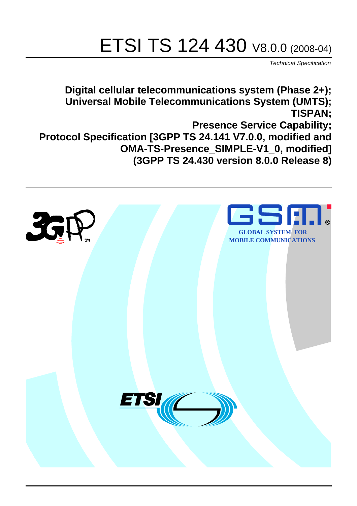# ETSI TS 124 430 V8.0.0 (2008-04)

*Technical Specification*

**Digital cellular telecommunications system (Phase 2+); Universal Mobile Telecommunications System (UMTS); TISPAN; Presence Service Capability; Protocol Specification [3GPP TS 24.141 V7.0.0, modified and OMA-TS-Presence\_SIMPLE-V1\_0, modified] (3GPP TS 24.430 version 8.0.0 Release 8)**

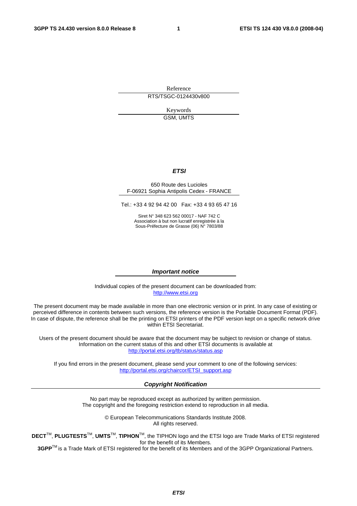Reference RTS/TSGC-0124430v800

> Keywords GSM, UMTS

#### *ETSI*

#### 650 Route des Lucioles F-06921 Sophia Antipolis Cedex - FRANCE

Tel.: +33 4 92 94 42 00 Fax: +33 4 93 65 47 16

Siret N° 348 623 562 00017 - NAF 742 C Association à but non lucratif enregistrée à la Sous-Préfecture de Grasse (06) N° 7803/88

#### *Important notice*

Individual copies of the present document can be downloaded from: [http://www.etsi.org](http://www.etsi.org/)

The present document may be made available in more than one electronic version or in print. In any case of existing or perceived difference in contents between such versions, the reference version is the Portable Document Format (PDF). In case of dispute, the reference shall be the printing on ETSI printers of the PDF version kept on a specific network drive within ETSI Secretariat.

Users of the present document should be aware that the document may be subject to revision or change of status. Information on the current status of this and other ETSI documents is available at <http://portal.etsi.org/tb/status/status.asp>

If you find errors in the present document, please send your comment to one of the following services: [http://portal.etsi.org/chaircor/ETSI\\_support.asp](http://portal.etsi.org/chaircor/ETSI_support.asp)

#### *Copyright Notification*

No part may be reproduced except as authorized by written permission. The copyright and the foregoing restriction extend to reproduction in all media.

> © European Telecommunications Standards Institute 2008. All rights reserved.

**DECT**TM, **PLUGTESTS**TM, **UMTS**TM, **TIPHON**TM, the TIPHON logo and the ETSI logo are Trade Marks of ETSI registered for the benefit of its Members.

**3GPP**TM is a Trade Mark of ETSI registered for the benefit of its Members and of the 3GPP Organizational Partners.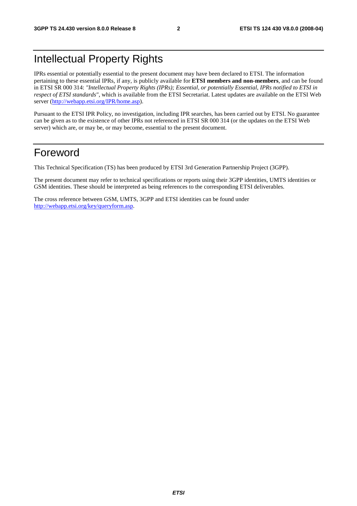### Intellectual Property Rights

IPRs essential or potentially essential to the present document may have been declared to ETSI. The information pertaining to these essential IPRs, if any, is publicly available for **ETSI members and non-members**, and can be found in ETSI SR 000 314: *"Intellectual Property Rights (IPRs); Essential, or potentially Essential, IPRs notified to ETSI in respect of ETSI standards"*, which is available from the ETSI Secretariat. Latest updates are available on the ETSI Web server ([http://webapp.etsi.org/IPR/home.asp\)](http://webapp.etsi.org/IPR/home.asp).

Pursuant to the ETSI IPR Policy, no investigation, including IPR searches, has been carried out by ETSI. No guarantee can be given as to the existence of other IPRs not referenced in ETSI SR 000 314 (or the updates on the ETSI Web server) which are, or may be, or may become, essential to the present document.

#### Foreword

This Technical Specification (TS) has been produced by ETSI 3rd Generation Partnership Project (3GPP).

The present document may refer to technical specifications or reports using their 3GPP identities, UMTS identities or GSM identities. These should be interpreted as being references to the corresponding ETSI deliverables.

The cross reference between GSM, UMTS, 3GPP and ETSI identities can be found under [http://webapp.etsi.org/key/queryform.asp.](http://webapp.etsi.org/key/queryform.asp)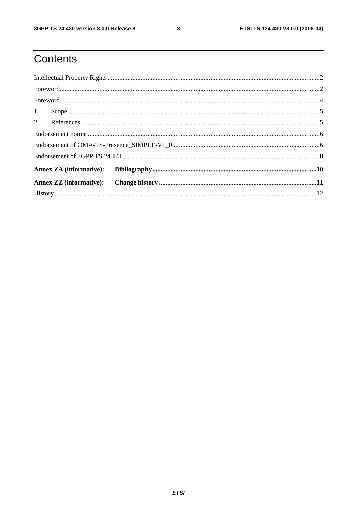### Contents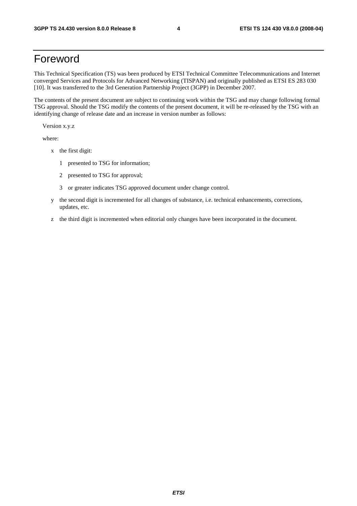#### Foreword

This Technical Specification (TS) was been produced by ETSI Technical Committee Telecommunications and Internet converged Services and Protocols for Advanced Networking (TISPAN) and originally published as ETSI ES 283 030 [10]. It was transferred to the 3rd Generation Partnership Project (3GPP) in December 2007.

The contents of the present document are subject to continuing work within the TSG and may change following formal TSG approval. Should the TSG modify the contents of the present document, it will be re-released by the TSG with an identifying change of release date and an increase in version number as follows:

Version x.y.z

where:

- x the first digit:
	- 1 presented to TSG for information;
	- 2 presented to TSG for approval;
	- 3 or greater indicates TSG approved document under change control.
- y the second digit is incremented for all changes of substance, i.e. technical enhancements, corrections, updates, etc.
- z the third digit is incremented when editorial only changes have been incorporated in the document.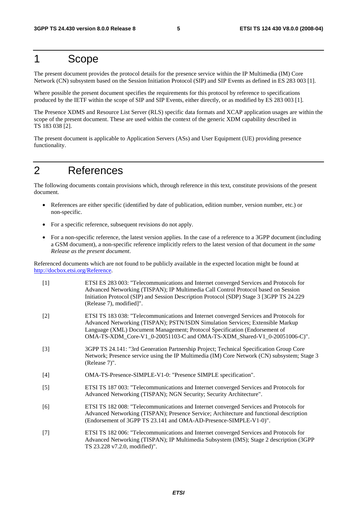#### 1 Scope

The present document provides the protocol details for the presence service within the IP Multimedia (IM) Core Network (CN) subsystem based on the Session Initiation Protocol (SIP) and SIP Events as defined in ES 283 003 [1].

Where possible the present document specifies the requirements for this protocol by reference to specifications produced by the IETF within the scope of SIP and SIP Events, either directly, or as modified by ES 283 003 [1].

The Presence XDMS and Resource List Server (RLS) specific data formats and XCAP application usages are within the scope of the present document. These are used within the context of the generic XDM capability described in TS 183 038 [2].

The present document is applicable to Application Servers (ASs) and User Equipment (UE) providing presence functionality.

#### 2 References

The following documents contain provisions which, through reference in this text, constitute provisions of the present document.

- References are either specific (identified by date of publication, edition number, version number, etc.) or non-specific.
- For a specific reference, subsequent revisions do not apply.
- For a non-specific reference, the latest version applies. In the case of a reference to a 3GPP document (including a GSM document), a non-specific reference implicitly refers to the latest version of that document *in the same Release as the present document*.

Referenced documents which are not found to be publicly available in the expected location might be found at http://docbox.etsi.org/Reference.

| $\lceil 1 \rceil$ | ETSI ES 283 003: "Telecommunications and Internet converged Services and Protocols for<br>Advanced Networking (TISPAN); IP Multimedia Call Control Protocol based on Session<br>Initiation Protocol (SIP) and Session Description Protocol (SDP) Stage 3 [3GPP TS 24.229<br>(Release 7), modified]". |
|-------------------|------------------------------------------------------------------------------------------------------------------------------------------------------------------------------------------------------------------------------------------------------------------------------------------------------|
| LOJ.              | ETCI TC 102.020, "Telecommunications and Internet converged Corvices and Dretogols for                                                                                                                                                                                                               |

- [2] ETSI TS 183 038: "Telecommunications and Internet converged Services and Protocols for Advanced Networking (TISPAN); PSTN/ISDN Simulation Services; Extensible Markup Language (XML) Document Management; Protocol Specification (Endorsement of OMA-TS-XDM\_Core-V1\_0-20051103-C and OMA-TS-XDM\_Shared-V1\_0-20051006-C)".
- [3] 3GPP TS 24.141: "3rd Generation Partnership Project; Technical Specification Group Core Network; Presence service using the IP Multimedia (IM) Core Network (CN) subsystem; Stage 3 (Release 7)".
- [4] OMA-TS-Presence-SIMPLE-V1-0: "Presence SIMPLE specification".
- [5] ETSI TS 187 003: "Telecommunications and Internet converged Services and Protocols for Advanced Networking (TISPAN); NGN Security; Security Architecture".
- [6] ETSI TS 182 008: "Telecommunications and Internet converged Services and Protocols for Advanced Networking (TISPAN); Presence Service; Architecture and functional description (Endorsement of 3GPP TS 23.141 and OMA-AD-Presence-SIMPLE-V1-0)".
- [7] ETSI TS 182 006: "Telecommunications and Internet converged Services and Protocols for Advanced Networking (TISPAN); IP Multimedia Subsystem (IMS); Stage 2 description (3GPP TS 23.228 v7.2.0, modified)".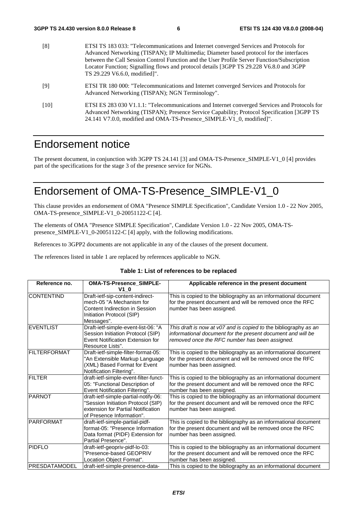| [8]  | ETSI TS 183 033: "Telecommunications and Internet converged Services and Protocols for<br>Advanced Networking (TISPAN); IP Multimedia; Diameter based protocol for the interfaces<br>between the Call Session Control Function and the User Profile Server Function/Subscription<br>Locator Function; Signalling flows and protocol details [3GPP TS 29.228 V6.8.0 and 3GPP<br>TS 29.229 V6.6.0, modified]". |
|------|--------------------------------------------------------------------------------------------------------------------------------------------------------------------------------------------------------------------------------------------------------------------------------------------------------------------------------------------------------------------------------------------------------------|
| [9]  | ETSI TR 180 000: "Telecommunications and Internet converged Services and Protocols for<br>Advanced Networking (TISPAN); NGN Terminology".                                                                                                                                                                                                                                                                    |
| [10] | ETSI ES 283 030 V1.1.1: "Telecommunications and Internet converged Services and Protocols for<br>Advanced Networking (TISPAN); Presence Service Capability; Protocol Specification [3GPP TS]<br>24.141 V7.0.0, modified and OMA-TS-Presence SIMPLE-V1 0, modified]".                                                                                                                                         |

### Endorsement notice

The present document, in conjunction with 3GPP TS 24.141 [3] and OMA-TS-Presence\_SIMPLE-V1\_0 [4] provides part of the specifications for the stage 3 of the presence service for NGNs.

### Endorsement of OMA-TS-Presence\_SIMPLE-V1\_0

This clause provides an endorsement of OMA "Presence SIMPLE Specification", Candidate Version 1.0 - 22 Nov 2005, OMA-TS-presence\_SIMPLE-V1\_0-20051122-C [4].

The elements of OMA "Presence SIMPLE Specification", Candidate Version 1.0 - 22 Nov 2005, OMA-TSpresence\_SIMPLE-V1\_0-20051122-C [4] apply, with the following modifications.

References to 3GPP2 documents are not applicable in any of the clauses of the present document.

The references listed in table 1 are replaced by references applicable to NGN.

| Reference no.         | OMA-TS-Presence_SIMPLE-<br>$V1$ 0                                                                                                             | Applicable reference in the present document                                                                                                                                      |
|-----------------------|-----------------------------------------------------------------------------------------------------------------------------------------------|-----------------------------------------------------------------------------------------------------------------------------------------------------------------------------------|
| <b>CONTENTIND</b>     | Draft-ietf-sip-content-indirect-<br>mech-05 "A Mechanism for<br>Content Indirection in Session<br>Initiation Protocol (SIP)<br>Messages".     | This is copied to the bibliography as an informational document<br>for the present document and will be removed once the RFC<br>number has been assigned.                         |
| <b>EVENTLIST</b>      | Draft-ietf-simple-event-list-06: "A<br>Session Initiation Protocol (SIP)<br>Event Notification Extension for<br>Resource Lists".              | This draft is now at v07 and is copied to the bibliography as an<br>informational document for the present document and will be<br>removed once the RFC number has been assigned. |
| FILTERFORMAT          | Draft-ietf-simple-filter-format-05:<br>"An Extensible Markup Language<br>(XML) Based Format for Event<br>Notification Filtering".             | This is copied to the bibliography as an informational document<br>for the present document and will be removed once the RFC<br>number has been assigned.                         |
| <b>FILTER</b>         | draft-ietf-simple-event-filter-funct-<br>05: "Functional Description of<br>Event Notification Filtering".                                     | This is copied to the bibliography as an informational document<br>for the present document and will be removed once the RFC<br>number has been assigned.                         |
| PARNOT                | draft-ietf-simple-partial-notify-06:<br>"Session Initiation Protocol (SIP)<br>extension for Partial Notification<br>of Presence Information". | This is copied to the bibliography as an informational document<br>for the present document and will be removed once the RFC<br>number has been assigned.                         |
| <b>PARFORMAT</b>      | draft-ietf-simple-partial-pidf-<br>format-05: "Presence Information<br>Data format (PIDF) Extension for<br>Partial Presence".                 | This is copied to the bibliography as an informational document<br>for the present document and will be removed once the RFC<br>number has been assigned.                         |
| PIDFLO                | draft-ietf-geopriv-pidf-lo-03:<br>"Presence-based GEOPRIV<br>Location Object Format".                                                         | This is copied to the bibliography as an informational document<br>for the present document and will be removed once the RFC<br>number has been assigned.                         |
| <b>IPRESDATAMODEL</b> | draft-ietf-simple-presence-data-                                                                                                              | This is copied to the bibliography as an informational document                                                                                                                   |

#### **Table 1: List of references to be replaced**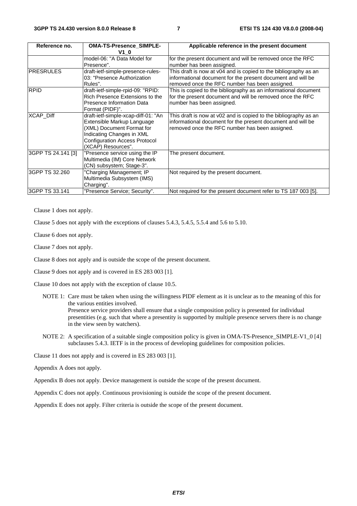| Reference no.      | <b>OMA-TS-Presence_SIMPLE-</b>                                                                                                                                                            | Applicable reference in the present document                                                                                                                                      |
|--------------------|-------------------------------------------------------------------------------------------------------------------------------------------------------------------------------------------|-----------------------------------------------------------------------------------------------------------------------------------------------------------------------------------|
|                    | V1 0<br>model-06: "A Data Model for<br>Presence".                                                                                                                                         | for the present document and will be removed once the RFC<br>number has been assigned.                                                                                            |
| <b>PRESRULES</b>   | draft-ietf-simple-presence-rules-<br>03: "Presence Authorization<br>Rules".                                                                                                               | This draft is now at v04 and is copied to the bibliography as an<br>informational document for the present document and will be<br>removed once the RFC number has been assigned. |
| <b>RPID</b>        | draft-ietf-simple-rpid-09: "RPID:<br>Rich Presence Extensions to the<br>Presence Information Data<br>Format (PIDF)".                                                                      | This is copied to the bibliography as an informational document<br>for the present document and will be removed once the RFC<br>number has been assigned.                         |
| XCAP_Diff          | draft-ietf-simple-xcap-diff-01: "An<br>Extensible Markup Language<br>(XML) Document Format for<br>Indicating Changes in XML<br><b>Configuration Access Protocol</b><br>(XCAP) Resources". | This draft is now at v02 and is copied to the bibliography as an<br>informational document for the present document and will be<br>removed once the RFC number has been assigned. |
| 3GPP TS 24.141 [3] | "Presence service using the IP<br>Multimedia (IM) Core Network<br>(CN) subsystem; Stage-3".                                                                                               | The present document.                                                                                                                                                             |
| 3GPP TS 32.260     | "Charging Management; IP<br>Multimedia Subsystem (IMS)<br>Charging".                                                                                                                      | Not required by the present document.                                                                                                                                             |
| 3GPP TS 33.141     | "Presence Service; Security".                                                                                                                                                             | Not required for the present document refer to TS 187 003 [5].                                                                                                                    |

Clause 1 does not apply.

Clause 5 does not apply with the exceptions of clauses 5.4.3, 5.4.5, 5.5.4 and 5.6 to 5.10.

Clause 6 does not apply.

Clause 7 does not apply.

Clause 8 does not apply and is outside the scope of the present document.

Clause 9 does not apply and is covered in ES 283 003 [1].

Clause 10 does not apply with the exception of clause 10.5.

NOTE 1: Care must be taken when using the willingness PIDF element as it is unclear as to the meaning of this for the various entities involved.

Presence service providers shall ensure that a single composition policy is presented for individual presentities (e.g. such that where a presentity is supported by multiple presence servers there is no change in the view seen by watchers).

NOTE 2: A specification of a suitable single composition policy is given in OMA-TS-Presence\_SIMPLE-V1\_0 [4] subclauses 5.4.3. IETF is in the process of developing guidelines for composition policies.

Clause 11 does not apply and is covered in ES 283 003 [1].

Appendix A does not apply.

Appendix B does not apply. Device management is outside the scope of the present document.

Appendix C does not apply. Continuous provisioning is outside the scope of the present document.

Appendix E does not apply. Filter criteria is outside the scope of the present document.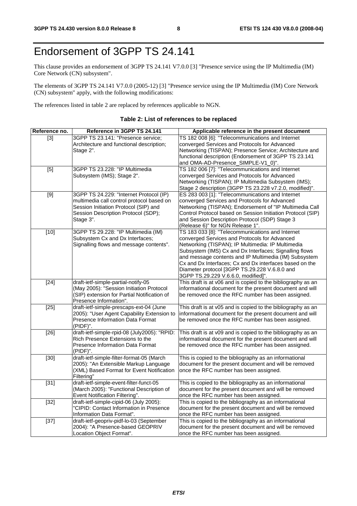### Endorsement of 3GPP TS 24.141

This clause provides an endorsement of 3GPP TS 24.141 V7.0.0 [3] "Presence service using the IP Multimedia (IM) Core Network (CN) subsystem".

The elements of 3GPP TS 24.141 V7.0.0 (2005-12) [3] "Presence service using the IP Multimedia (IM) Core Network (CN) subsystem" apply, with the following modifications:

The references listed in table 2 are replaced by references applicable to NGN.

#### **Table 2: List of references to be replaced**

| Reference no.     | Reference in 3GPP TS 24.141                           | Applicable reference in the present document                                         |
|-------------------|-------------------------------------------------------|--------------------------------------------------------------------------------------|
| $[3]$             | 3GPP TS 23.141: "Presence service;                    | TS 182 008 [6]: "Telecommunications and Internet                                     |
|                   | Architecture and functional description;              | converged Services and Protocols for Advanced                                        |
|                   | Stage 2".                                             | Networking (TISPAN); Presence Service; Architecture and                              |
|                   |                                                       | functional description (Endorsement of 3GPP TS 23.141                                |
|                   |                                                       | and OMA-AD-Presence_SIMPLE-V1_0)".                                                   |
| [5]               | 3GPP TS 23.228: "IP Multimedia                        | TS 182 006 [7]: "Telecommunications and Internet                                     |
|                   | Subsystem (IMS); Stage 2".                            | converged Services and Protocols for Advanced                                        |
|                   |                                                       | Networking (TISPAN); IP Multimedia Subsystem (IMS);                                  |
|                   |                                                       | Stage 2 description (3GPP TS 23.228 v7.2.0, modified)".                              |
| $[9]$             | 3GPP TS 24.229: "Internet Protocol (IP)               | ES 283 003 [1]: "Telecommunications and Internet                                     |
|                   | multimedia call control protocol based on             | converged Services and Protocols for Advanced                                        |
|                   | Session Initiation Protocol (SIP) and                 | Networking (TISPAN); Endorsement of "IP Multimedia Call                              |
|                   | Session Description Protocol (SDP);                   | Control Protocol based on Session Initiation Protocol (SIP)                          |
|                   | Stage 3".                                             | and Session Description Protocol (SDP) Stage 3                                       |
|                   | 3GPP TS 29.228: "IP Multimedia (IM)                   | (Release 6)" for NGN Release 1".<br>TS 183 033 [8]: "Telecommunications and Internet |
| $[10]$            | Subsystem Cx and Dx Interfaces;                       | converged Services and Protocols for Advanced                                        |
|                   | Signalling flows and message contents".               | Networking (TISPAN); IP Multimedia: IP Multimedia                                    |
|                   |                                                       | Subsystem (IMS) Cx and Dx Interfaces; Signalling flows                               |
|                   |                                                       | and message contents and IP Multimedia (IM) Subsystem                                |
|                   |                                                       | Cx and Dx Interfaces; Cx and Dx interfaces based on the                              |
|                   |                                                       | Diameter protocol [3GPP TS.29.228 V.6.8.0 and                                        |
|                   |                                                       | 3GPP TS.29.229 V.6.6.0, modified]".                                                  |
| $[24]$            | draft-ietf-simple-partial-notify-05                   | This draft is at v06 and is copied to the bibliography as an                         |
|                   | (May 2005): "Session Initiation Protocol              | informational document for the present document and will                             |
|                   | (SIP) extension for Partial Notification of           | be removed once the RFC number has been assigned.                                    |
|                   | Presence Information".                                |                                                                                      |
| $\overline{[25]}$ | draft-ietf-simple-prescaps-ext-04 (June               | This draft is at v05 and is copied to the bibliography as an                         |
|                   | 2005): "User Agent Capability Extension to            | informational document for the present document and will                             |
|                   | Presence Information Data Format                      | be removed once the RFC number has been assigned.                                    |
|                   | (PIDF)".                                              |                                                                                      |
| $[26]$            | draft-ietf-simple-rpid-08 (July2005): "RPID:          | This draft is at v09 and is copied to the bibliography as an                         |
|                   | Rich Presence Extensions to the                       | informational document for the present document and will                             |
|                   | Presence Information Data Format                      | be removed once the RFC number has been assigned.                                    |
| $[30]$            | (PIDF)".<br>draft-ietf-simple-filter-format-05 (March | This is copied to the bibliography as an informational                               |
|                   | 2005): "An Extensible Markup Language                 | document for the present document and will be removed                                |
|                   | (XML) Based Format for Event Notification             | once the RFC number has been assigned.                                               |
|                   | Filtering"                                            |                                                                                      |
| $[31]$            | draft-ietf-simple-event-filter-funct-05               | This is copied to the bibliography as an informational                               |
|                   | (March 2005): "Functional Description of              | document for the present document and will be removed                                |
|                   | Event Notification Filtering".                        | once the RFC number has been assigned.                                               |
| $[32]$            | draft-ietf-simple-cipid-06 (July 2005):               | This is copied to the bibliography as an informational                               |
|                   | "CIPID: Contact Information in Presence               | document for the present document and will be removed                                |
|                   | Information Data Format".                             | once the RFC number has been assigned.                                               |
| $[37]$            | draft-ietf-geopriv-pidf-lo-03 (September              | This is copied to the bibliography as an informational                               |
|                   | 2004): "A Presence-based GEOPRIV                      | document for the present document and will be removed                                |
|                   | Location Object Format".                              | once the RFC number has been assigned.                                               |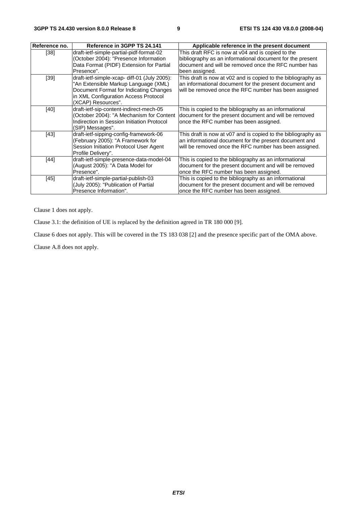| Reference no. | Reference in 3GPP TS 24.141                                                                                                                                                                  | Applicable reference in the present document                                                                                                                                             |
|---------------|----------------------------------------------------------------------------------------------------------------------------------------------------------------------------------------------|------------------------------------------------------------------------------------------------------------------------------------------------------------------------------------------|
| $[38]$        | draft-ietf-simple-partial-pidf-format-02<br>(October 2004): "Presence Information<br>Data Format (PIDF) Extension for Partial<br>Presence".                                                  | This draft RFC is now at v04 and is copied to the<br>bibliography as an informational document for the present<br>document and will be removed once the RFC number has<br>been assigned. |
| $[39]$        | draft-ietf-simple-xcap- diff-01 (July 2005):<br>"An Extensible Markup Language (XML)<br>Document Format for Indicating Changes<br>in XML Configuration Access Protocol<br>(XCAP) Resources". | This draft is now at v02 and is copied to the bibliography as<br>an informational document for the present document and<br>will be removed once the RFC number has been assigned         |
| $[40]$        | draft-ietf-sip-content-indirect-mech-05<br>(October 2004): "A Mechanism for Content<br>Indirection in Session Initiation Protocol<br>(SIP) Messages".                                        | This is copied to the bibliography as an informational<br>document for the present document and will be removed<br>once the RFC number has been assigned.                                |
| $[43]$        | draft-ietf-sipping-config-framework-06<br>(February 2005): "A Framework for<br>Session Initiation Protocol User Agent<br>Profile Delivery".                                                  | This draft is now at v07 and is copied to the bibliography as<br>an informational document for the present document and<br>will be removed once the RFC number has been assigned.        |
| $[44]$        | draft-ietf-simple-presence-data-model-04<br>(August 2005): "A Data Model for<br>Presence".                                                                                                   | This is copied to the bibliography as an informational<br>document for the present document and will be removed<br>once the RFC number has been assigned.                                |
| $[45]$        | draft-ietf-simple-partial-publish-03<br>(July 2005): "Publication of Partial<br>Presence Information".                                                                                       | This is copied to the bibliography as an informational<br>document for the present document and will be removed<br>once the RFC number has been assigned.                                |

Clause 1 does not apply.

Clause 3.1: the definition of UE is replaced by the definition agreed in TR 180 000 [9].

Clause 6 does not apply. This will be covered in the TS 183 038 [2] and the presence specific part of the OMA above.

Clause A.8 does not apply.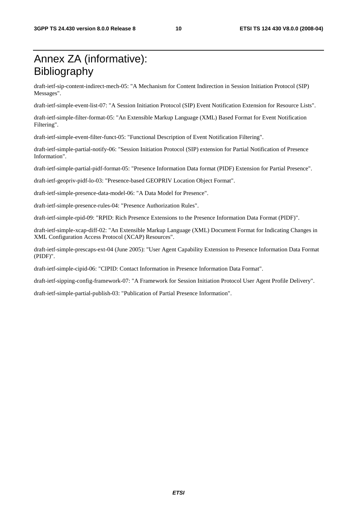### Annex ZA (informative): Bibliography

draft-ietf-sip-content-indirect-mech-05: "A Mechanism for Content Indirection in Session Initiation Protocol (SIP) Messages".

draft-ietf-simple-event-list-07: "A Session Initiation Protocol (SIP) Event Notification Extension for Resource Lists".

draft-ietf-simple-filter-format-05: "An Extensible Markup Language (XML) Based Format for Event Notification Filtering".

draft-ietf-simple-event-filter-funct-05: "Functional Description of Event Notification Filtering".

draft-ietf-simple-partial-notify-06: "Session Initiation Protocol (SIP) extension for Partial Notification of Presence Information".

draft-ietf-simple-partial-pidf-format-05: "Presence Information Data format (PIDF) Extension for Partial Presence".

draft-ietf-geopriv-pidf-lo-03: "Presence-based GEOPRIV Location Object Format".

draft-ietf-simple-presence-data-model-06: "A Data Model for Presence".

draft-ietf-simple-presence-rules-04: "Presence Authorization Rules".

draft-ietf-simple-rpid-09: "RPID: Rich Presence Extensions to the Presence Information Data Format (PIDF)".

draft-ietf-simple-xcap-diff-02: "An Extensible Markup Language (XML) Document Format for Indicating Changes in XML Configuration Access Protocol (XCAP) Resources".

draft-ietf-simple-prescaps-ext-04 (June 2005): "User Agent Capability Extension to Presence Information Data Format (PIDF)".

draft-ietf-simple-cipid-06: "CIPID: Contact Information in Presence Information Data Format".

draft-ietf-sipping-config-framework-07: "A Framework for Session Initiation Protocol User Agent Profile Delivery".

draft-ietf-simple-partial-publish-03: "Publication of Partial Presence Information".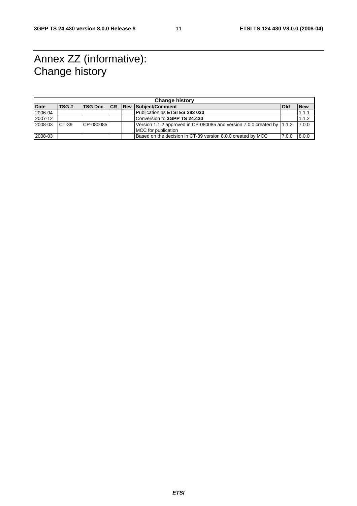### Annex ZZ (informative): Change history

|             | <b>Change history</b> |                      |  |             |                                                                                               |       |            |
|-------------|-----------------------|----------------------|--|-------------|-----------------------------------------------------------------------------------------------|-------|------------|
| <b>Date</b> | TSG #                 | <b>ITSG Doc. ICR</b> |  | <b>IRev</b> | Subject/Comment                                                                               | lOld  | <b>New</b> |
| 2006-04     |                       |                      |  |             | Publication as <b>ETSI ES 283 030</b>                                                         |       | 1.1.1      |
| 2007-12     |                       |                      |  |             | Conversion to 3GPP TS 24.430                                                                  |       | 1.1.2      |
| 2008-03     | CT-39                 | CP-080085            |  |             | Version 1.1.2 approved in CP-080085 and version 7.0.0 created by 1.1.2<br>MCC for publication |       | 7.0.0      |
| 2008-03     |                       |                      |  |             | Based on the decision in CT-39 version 8.0.0 created by MCC                                   | 7.0.0 | 8.0.0      |